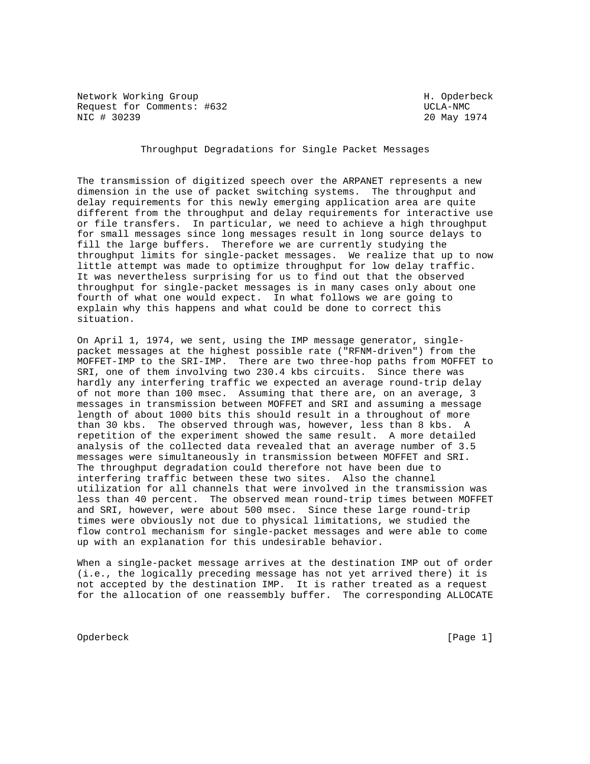Network Working Group Network More of the Manuscript of the Manuscript of the Manuscript of the Manuscript of the Ma Request for Comments: #632 UCLA-NMC NIC # 30239 20 May 1974

Throughput Degradations for Single Packet Messages

The transmission of digitized speech over the ARPANET represents a new dimension in the use of packet switching systems. The throughput and delay requirements for this newly emerging application area are quite different from the throughput and delay requirements for interactive use or file transfers. In particular, we need to achieve a high throughput for small messages since long messages result in long source delays to fill the large buffers. Therefore we are currently studying the throughput limits for single-packet messages. We realize that up to now little attempt was made to optimize throughput for low delay traffic. It was nevertheless surprising for us to find out that the observed throughput for single-packet messages is in many cases only about one fourth of what one would expect. In what follows we are going to explain why this happens and what could be done to correct this situation.

On April 1, 1974, we sent, using the IMP message generator, singlepacket messages at the highest possible rate ("RFNM-driven") from the MOFFET-IMP to the SRI-IMP. There are two three-hop paths from MOFFET to SRI, one of them involving two 230.4 kbs circuits. Since there was hardly any interfering traffic we expected an average round-trip delay of not more than 100 msec. Assuming that there are, on an average, 3 messages in transmission between MOFFET and SRI and assuming a message length of about 1000 bits this should result in a throughout of more than 30 kbs. The observed through was, however, less than 8 kbs. A repetition of the experiment showed the same result. A more detailed analysis of the collected data revealed that an average number of 3.5 messages were simultaneously in transmission between MOFFET and SRI. The throughput degradation could therefore not have been due to interfering traffic between these two sites. Also the channel utilization for all channels that were involved in the transmission was less than 40 percent. The observed mean round-trip times between MOFFET and SRI, however, were about 500 msec. Since these large round-trip times were obviously not due to physical limitations, we studied the flow control mechanism for single-packet messages and were able to come up with an explanation for this undesirable behavior.

When a single-packet message arrives at the destination IMP out of order (i.e., the logically preceding message has not yet arrived there) it is not accepted by the destination IMP. It is rather treated as a request for the allocation of one reassembly buffer. The corresponding ALLOCATE

Opderbeck [Page 1]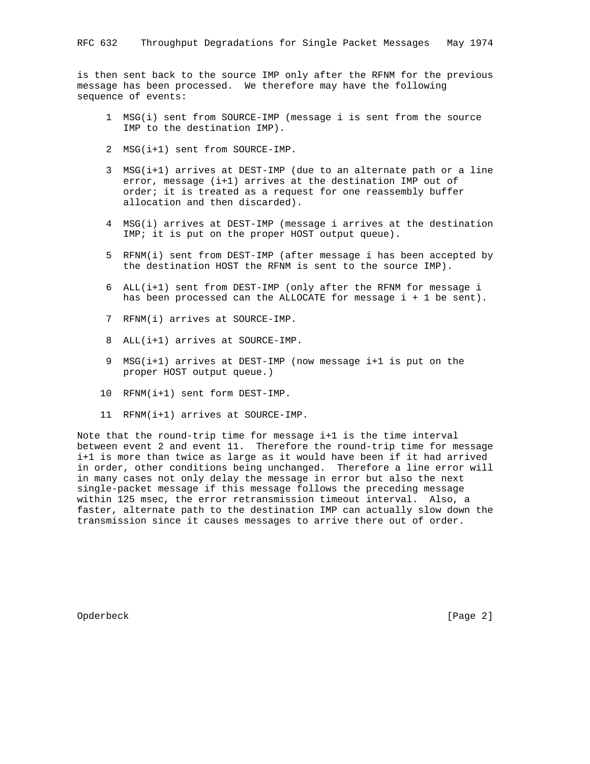is then sent back to the source IMP only after the RFNM for the previous message has been processed. We therefore may have the following sequence of events:

- 1 MSG(i) sent from SOURCE-IMP (message i is sent from the source IMP to the destination IMP).
- 2 MSG(i+1) sent from SOURCE-IMP.
- 3 MSG(i+1) arrives at DEST-IMP (due to an alternate path or a line error, message (i+1) arrives at the destination IMP out of order; it is treated as a request for one reassembly buffer allocation and then discarded).
- 4 MSG(i) arrives at DEST-IMP (message i arrives at the destination IMP; it is put on the proper HOST output queue).
- 5 RFNM(i) sent from DEST-IMP (after message i has been accepted by the destination HOST the RFNM is sent to the source IMP).
- 6 ALL(i+1) sent from DEST-IMP (only after the RFNM for message i has been processed can the ALLOCATE for message i + 1 be sent).
- 7 RFNM(i) arrives at SOURCE-IMP.
- 8 ALL(i+1) arrives at SOURCE-IMP.
- 9 MSG(i+1) arrives at DEST-IMP (now message i+1 is put on the proper HOST output queue.)
- 10 RFNM(i+1) sent form DEST-IMP.
- 11 RFNM(i+1) arrives at SOURCE-IMP.

Note that the round-trip time for message i+1 is the time interval between event 2 and event 11. Therefore the round-trip time for message i+1 is more than twice as large as it would have been if it had arrived in order, other conditions being unchanged. Therefore a line error will in many cases not only delay the message in error but also the next single-packet message if this message follows the preceding message within 125 msec, the error retransmission timeout interval. Also, a faster, alternate path to the destination IMP can actually slow down the transmission since it causes messages to arrive there out of order.

Opderbeck [Page 2]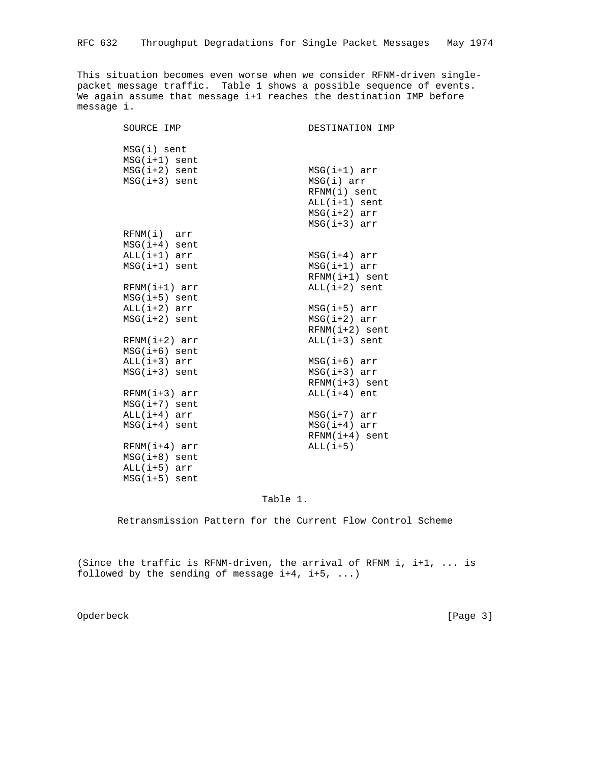This situation becomes even worse when we consider RFNM-driven singlepacket message traffic. Table 1 shows a possible sequence of events. We again assume that message i+1 reaches the destination IMP before message i.

| SOURCE IMP      | DESTINATION IMP  |
|-----------------|------------------|
| $MSG(i)$ sent   |                  |
| $MSG(i+1)$ sent |                  |
| $MSG(i+2)$ sent | $MSG(i+1)$ arr   |
| $MSG(i+3)$ sent | MSG(i) arr       |
|                 | RFNM(i) sent     |
|                 | $ALL(i+1)$ sent  |
|                 | $MSG(i+2) arr$   |
|                 | $MSG(i+3) arr$   |
| $RFNM(i)$ arr   |                  |
| $MSG(i+4)$ sent |                  |
| $ALL(i+1)$ arr  | $MSG(i+4)$ arr   |
| $MSG(i+1)$ sent | $MSG(i+1) arr$   |
|                 | $RFNM(i+1)$ sent |
| $RFNM(i+1)$ arr | $ALL(i+2)$ sent  |
| $MSG(i+5)$ sent |                  |
| $ALL(i+2) arr$  | $MSG(i+5)$ arr   |
| $MSG(i+2)$ sent | $MSG(i+2) arr$   |
|                 | $RFNM(i+2)$ sent |
| $RFNM(i+2)$ arr | $ALL(i+3)$ sent  |
| $MSG(i+6)$ sent |                  |
| $ALL(i+3) arr$  | $MSG(i+6) arr$   |
| $MSG(i+3)$ sent | $MSG(i+3) arr$   |
|                 | $RFNM(i+3)$ sent |
| $RFNM(i+3)$ arr | $ALL(i+4)$ ent   |
| $MSG(i+7)$ sent |                  |
| $ALL(i+4)$ arr  | $MSG(i+7)$ arr   |
| $MSG(i+4)$ sent | $MSG(i+4) arr$   |
|                 | $RFNM(i+4)$ sent |
| $RFNM(i+4)$ arr | $ALL(i+5)$       |
| $MSG(i+8)$ sent |                  |
| $ALL(i+5)$ arr  |                  |
| $MSG(i+5)$ sent |                  |

## Table 1.

Retransmission Pattern for the Current Flow Control Scheme

(Since the traffic is RFNM-driven, the arrival of RFNM i, i+1, ... is followed by the sending of message  $i+4$ ,  $i+5$ , ...)

Opderbeck [Page 3]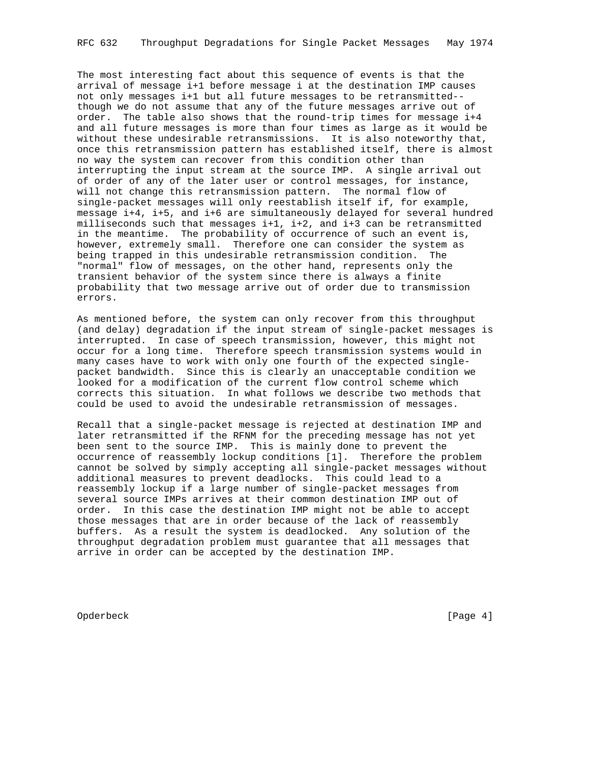The most interesting fact about this sequence of events is that the arrival of message i+1 before message i at the destination IMP causes not only messages i+1 but all future messages to be retransmitted- though we do not assume that any of the future messages arrive out of order. The table also shows that the round-trip times for message i+4 and all future messages is more than four times as large as it would be without these undesirable retransmissions. It is also noteworthy that, once this retransmission pattern has established itself, there is almost no way the system can recover from this condition other than interrupting the input stream at the source IMP. A single arrival out of order of any of the later user or control messages, for instance, will not change this retransmission pattern. The normal flow of single-packet messages will only reestablish itself if, for example, message i+4, i+5, and i+6 are simultaneously delayed for several hundred milliseconds such that messages i+1, i+2, and i+3 can be retransmitted in the meantime. The probability of occurrence of such an event is, however, extremely small. Therefore one can consider the system as being trapped in this undesirable retransmission condition. The "normal" flow of messages, on the other hand, represents only the transient behavior of the system since there is always a finite probability that two message arrive out of order due to transmission errors.

As mentioned before, the system can only recover from this throughput (and delay) degradation if the input stream of single-packet messages is interrupted. In case of speech transmission, however, this might not occur for a long time. Therefore speech transmission systems would in many cases have to work with only one fourth of the expected singlepacket bandwidth. Since this is clearly an unacceptable condition we looked for a modification of the current flow control scheme which corrects this situation. In what follows we describe two methods that could be used to avoid the undesirable retransmission of messages.

Recall that a single-packet message is rejected at destination IMP and later retransmitted if the RFNM for the preceding message has not yet been sent to the source IMP. This is mainly done to prevent the occurrence of reassembly lockup conditions [1]. Therefore the problem cannot be solved by simply accepting all single-packet messages without additional measures to prevent deadlocks. This could lead to a reassembly lockup if a large number of single-packet messages from several source IMPs arrives at their common destination IMP out of order. In this case the destination IMP might not be able to accept those messages that are in order because of the lack of reassembly buffers. As a result the system is deadlocked. Any solution of the throughput degradation problem must guarantee that all messages that arrive in order can be accepted by the destination IMP.

Opderbeck [Page 4]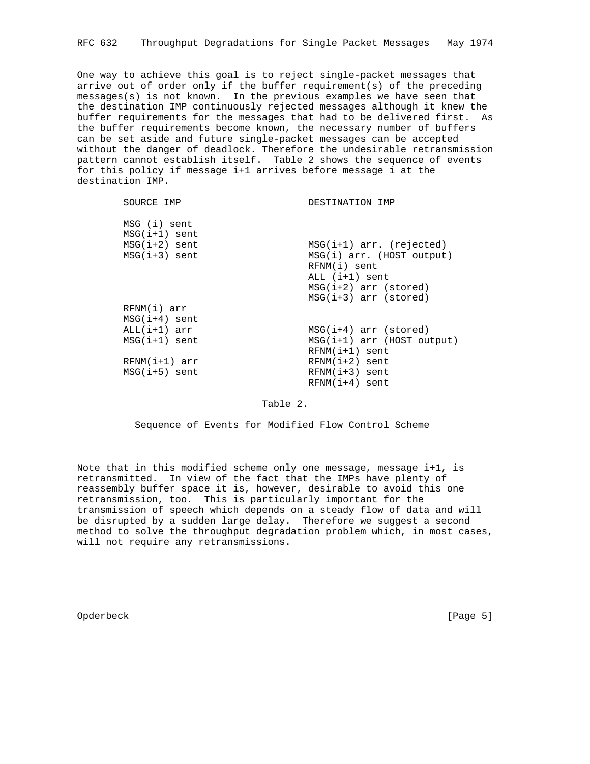One way to achieve this goal is to reject single-packet messages that arrive out of order only if the buffer requirement(s) of the preceding messages(s) is not known. In the previous examples we have seen that the destination IMP continuously rejected messages although it knew the buffer requirements for the messages that had to be delivered first. As the buffer requirements become known, the necessary number of buffers can be set aside and future single-packet messages can be accepted without the danger of deadlock. Therefore the undesirable retransmission pattern cannot establish itself. Table 2 shows the sequence of events for this policy if message i+1 arrives before message i at the destination IMP.

| SOURCE IMP                      | DESTINATION IMP              |
|---------------------------------|------------------------------|
| MSG (i) sent<br>$MSG(i+1)$ sent |                              |
| $MSG(i+2)$ sent                 | $MSG(i+1) arr. (rejected)$   |
| $MSG(i+3)$ sent                 | MSG(i) arr. (HOST output)    |
|                                 | RFNM(i) sent                 |
|                                 | $ALL$ $(i+1)$ sent           |
|                                 | $MSG(i+2) arr (stored)$      |
|                                 | $MSG(i+3)$ arr (stored)      |
| RFNM(i) arr                     |                              |
| $MSG(i+4)$ sent                 |                              |
| $ALL(i+1)$ arr                  | $MSG(i+4)$ arr (stored)      |
| $MSG(i+1)$ sent                 | $MSG(i+1)$ arr (HOST output) |
|                                 | $RFNM(i+1)$ sent             |
| $RFNM(i+1)$ arr                 | $RFNM(i+2)$ sent             |
| $MSG(i+5)$ sent                 | $RFNM(i+3)$ sent             |
|                                 | $RFNM(i+4)$ sent             |

Table 2.

Sequence of Events for Modified Flow Control Scheme

Note that in this modified scheme only one message, message i+1, is retransmitted. In view of the fact that the IMPs have plenty of reassembly buffer space it is, however, desirable to avoid this one retransmission, too. This is particularly important for the transmission of speech which depends on a steady flow of data and will be disrupted by a sudden large delay. Therefore we suggest a second method to solve the throughput degradation problem which, in most cases, will not require any retransmissions.

Opderbeck [Page 5]